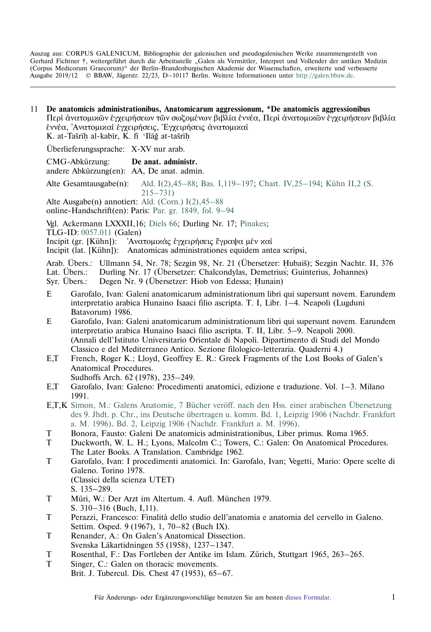Auszug aus: CORPUS GALENICUM, Bibliographie der galenischen und pseudogalenischen Werke zusammengestellt von Gerhard Fichtner †, weitergeführt durch die Arbeitsstelle "Galen als Vermittler, Interpret und Vollender der antiken Medizin (Corpus Medicorum Graecorum)" der Berlin-Brandenburgischen Akademie der Wissenschaften, erweiterte und verbesserte Ausgabe 2019/12 © BBAW, Jägerstr. 22/23, D–10117 Berlin. Weitere Informationen unter [http://galen.bbaw.de](ttp://galen.bbaw.de).

11 **De anatomicis administrationibus, Anatomicarum aggressionum, \*De anatomicis aggressionibus** Περὶ ἀνατομικῶν ἐγχειρήσεων τῶν σωζομένων βιβλία ἐννέα, Περὶ ἀνατομικῶν ἐγχειρήσεων βιβλία έννέα, Άνατομικαί έγχειρήσεις, Έγχειρήσεις άνατομικαί K. at-Tašrīh al-kabīr, K. fī 'Ilāğ at-tašrīh

˙ ˙ Überlieferungssprache: X-XV nur arab.

CMG-Abkürzung: **De anat. administr.** andere Abkürzung(en): AA, De anat. admin.

Alte Gesamtausgabe(n): [Ald. I\(2\),45–88;](http://www2.biusante.parisdescartes.fr/livanc/?cote=01623x01&p=143&do=page) [Bas. I,119–197;](http://reader.digitale-sammlungen.de/de/fs1/object/display/bsb11199195_00135.html) [Chart. IV,25–194](http://reader.digitale-sammlungen.de/de/fs1/object/display/bsb10622367_00035.html); [Kühn II,2 \(S.](https://archive.org/stream/hapantaoperaomni02galeuoft#page/214/mode/2up) [215–731\)](https://archive.org/stream/hapantaoperaomni02galeuoft#page/214/mode/2up)

Alte Ausgabe(n) annotiert: [Ald. \(Corn.\) I\(2\),45–88](https://archive.thulb.uni-jena.de/hisbest/rsc/viewer/HisBest_derivate_00010413/Cornarius_213996405_01_213996472_0148.tif)

online-Handschrift(en): Paris: [Par. gr. 1849, fol. 9–94](https://gallica.bnf.fr/ark:/12148/btv1b10721651b/f23.image)

Vgl. Ackermann LXXXII,16; [Diels 66](http://cmg.bbaw.de/epubl/online/diels_02.html?custom=1&pn=66&AnzFrames=1&dw=1625&dh=816); Durling Nr. 17; [Pinakes](http://pinakes.irht.cnrs.fr/notices/oeuvre/1998/);

TLG-ID: [0057.011](http://stephanus.tlg.uci.edu/Iris/inst/browser.jsp#doc=tlg&aid=0057&wid=011&st=0&l=30) (Galen)

Incipit (gr. [Kühn]): <sup>γ</sup>Ανατομικὰς ἐγχειρήσεις ἔγραψα μὲν καὶ

Incipit (lat. [Kühn]): Anatomicas administrationes equidem antea scripsi,

Arab. Übers.: Ullmann 54, Nr. 78; Sezgin 98, Nr. 21 (Übersetzer: Hubaiš); Sezgin Nachtr. II, 376<br>Lat Übers Durling Nr. 17 (Übersetzer: Chalcondylas Demetrius: Guinterius Johannes) Lat. Übers.: Durling Nr. 17 (Übersetzer: Chalcondylas, Demetrius; Guinterius, Johannes)<br>Syr. Übers.: Degen Nr. 9 (Übersetzer: Hiob von Edessa; Hunain)

Syr. Übers.: Degen Nr. 9 (Übersetzer: Hiob von Edessa; Hunain)

- E Garofalo, Ivan: Galeni anatomicarum administrationum libri qui supersunt novem. Earundem interpretatio arabica Hunaino Isaaci filio ascripta. T. I, Libr. 1–4. Neapoli (Lugduni Batavorum) 1986.
- E Garofalo, Ivan: Galeni anatomicarum administrationum libri qui supersunt novem. Earundem interpretatio arabica Hunaino Isaaci filio ascripta. T. II, Libr. 5–9. Neapoli 2000. (Annali dell'Istituto Universitario Orientale di Napoli. Dipartimento di Studi del Mondo Classico e del Mediterraneo Antico. Sezione filologico-letteraria. Quaderni 4.)
- E,T French, Roger K.; Lloyd, Geoffrey E. R.: Greek Fragments of the Lost Books of Galen's Anatomical Procedures.
	- Sudhoffs Arch. 62 (1978), 235–249.
- E,T Garofalo, Ivan: Galeno: Procedimenti anatomici, edizione e traduzione. Vol. 1–3. Milano 1991.
- E,T,K [Simon, M.: Galens Anatomie, 7 Bücher veröff. nach den Hss. einer arabischen Übersetzung](http://cmg.bbaw.de/epubl/online/wa_simon_gal_sieben_buecher_anatom.php?custom=1&pn=1&AnzFrames=1&dw=1432&dh=1102) [des 9. Jhdt. p. Chr., ins Deutsche übertragen u. komm. Bd. 1, Leipzig 1906 \(Nachdr. Frankfurt](http://cmg.bbaw.de/epubl/online/wa_simon_gal_sieben_buecher_anatom.php?custom=1&pn=1&AnzFrames=1&dw=1432&dh=1102) [a. M. 1996\).](http://cmg.bbaw.de/epubl/online/wa_simon_gal_sieben_buecher_anatom.php?custom=1&pn=1&AnzFrames=1&dw=1432&dh=1102) [Bd. 2, Leipzig 1906 \(Nachdr. Frankfurt a. M. 1996\)](http://cmg.bbaw.de/epubl/online/wa_simon_gal_sieben_buecher_anatom.php?custom=1&pn=1&AnzFrames=1&dw=1432&dh=1102).
- T Bonora, Fausto: Galeni De anatomicis administrationibus, Liber primus. Roma 1965.
- T Duckworth, W. L. H.; Lyons, Malcolm C.; Towers, C.: Galen: On Anatomical Procedures. The Later Books. A Translation. Cambridge 1962.
- T Garofalo, Ivan: I procedimenti anatomici. In: Garofalo, Ivan; Vegetti, Mario: Opere scelte di Galeno. Torino 1978. (Classici della scienza UTET)
	- S. 135–289.
- T Müri, W.: Der Arzt im Altertum. 4. Aufl. München 1979. S. 310–316 (Buch, I,11).
- T Perazzi, Francesco: Finalita` dello studio dell'anatomia e anatomia del cervello in Galeno. Settim. Osped. 9 (1967), 1, 70–82 (Buch IX).
- T Renander, A.: On Galen's Anatomical Dissection. Svenska Läkartidningen 55 (1958), 1237–1347.
- T Rosenthal, F.: Das Fortleben der Antike im Islam. Zürich, Stuttgart 1965, 263–265.
- T Singer, C.: Galen on thoracic movements. Brit. J. Tubercul. Dis. Chest 47 (1953), 65–67.